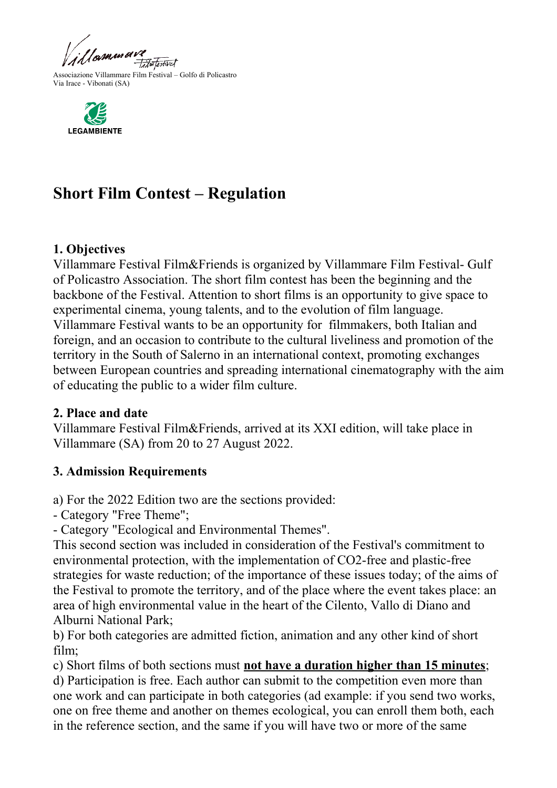



# **Short Film Contest – Regulation**

#### **1. Objectives**

Villammare Festival Film&Friends is organized by Villammare Film Festival- Gulf of Policastro Association. The short film contest has been the beginning and the backbone of the Festival. Attention to short films is an opportunity to give space to experimental cinema, young talents, and to the evolution of film language. Villammare Festival wants to be an opportunity for filmmakers, both Italian and foreign, and an occasion to contribute to the cultural liveliness and promotion of the territory in the South of Salerno in an international context, promoting exchanges between European countries and spreading international cinematography with the aim of educating the public to a wider film culture.

#### **2. Place and date**

Villammare Festival Film&Friends, arrived at its XXI edition, will take place in Villammare (SA) from 20 to 27 August 2022.

#### **3. Admission Requirements**

a) For the 2022 Edition two are the sections provided:

- Category "Free Theme";

- Category "Ecological and Environmental Themes".

This second section was included in consideration of the Festival's commitment to environmental protection, with the implementation of CO2-free and plastic-free strategies for waste reduction; of the importance of these issues today; of the aims of the Festival to promote the territory, and of the place where the event takes place: an area of high environmental value in the heart of the Cilento, Vallo di Diano and Alburni National Park;

b) For both categories are admitted fiction, animation and any other kind of short film;

c) Short films of both sections must **not have a duration higher than 15 minutes**;

d) Participation is free. Each author can submit to the competition even more than one work and can participate in both categories (ad example: if you send two works, one on free theme and another on themes ecological, you can enroll them both, each in the reference section, and the same if you will have two or more of the same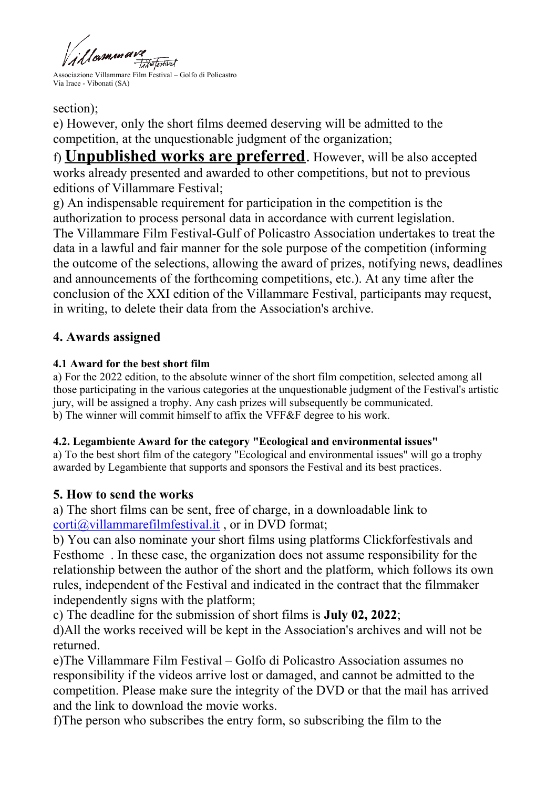

section);

e) However, only the short films deemed deserving will be admitted to the competition, at the unquestionable judgment of the organization;

f) **Unpublished works are preferred**. However, will be also accepted works already presented and awarded to other competitions, but not to previous editions of Villammare Festival;

g) An indispensable requirement for participation in the competition is the authorization to process personal data in accordance with current legislation. The Villammare Film Festival-Gulf of Policastro Association undertakes to treat the data in a lawful and fair manner for the sole purpose of the competition (informing the outcome of the selections, allowing the award of prizes, notifying news, deadlines and announcements of the forthcoming competitions, etc.). At any time after the

conclusion of the XXI edition of the Villammare Festival, participants may request, in writing, to delete their data from the Association's archive.

# **4. Awards assigned**

#### **4.1 Award for the best short film**

a) For the 2022 edition, to the absolute winner of the short film competition, selected among all those participating in the various categories at the unquestionable judgment of the Festival's artistic jury, will be assigned a trophy. Any cash prizes will subsequently be communicated. b) The winner will commit himself to affix the VFF&F degree to his work.

#### **4.2. Legambiente Award for the category "Ecological and environmental issues"**

a) To the best short film of the category "Ecological and environmental issues" will go a trophy awarded by Legambiente that supports and sponsors the Festival and its best practices.

# **5. How to send the works**

a) The short films can be sent, free of charge, in a downloadable link to [corti@villammarefilmfestival.it](mailto:corti@villammarefilmfestival.it) , or in DVD format;

b) You can also nominate your short films using platforms Clickforfestivals and Festhome . In these case, the organization does not assume responsibility for the relationship between the author of the short and the platform, which follows its own rules, independent of the Festival and indicated in the contract that the filmmaker independently signs with the platform;

c) The deadline for the submission of short films is **July 02, 2022**;

d)All the works received will be kept in the Association's archives and will not be returned.

e)The Villammare Film Festival – Golfo di Policastro Association assumes no responsibility if the videos arrive lost or damaged, and cannot be admitted to the competition. Please make sure the integrity of the DVD or that the mail has arrived and the link to download the movie works.

f)The person who subscribes the entry form, so subscribing the film to the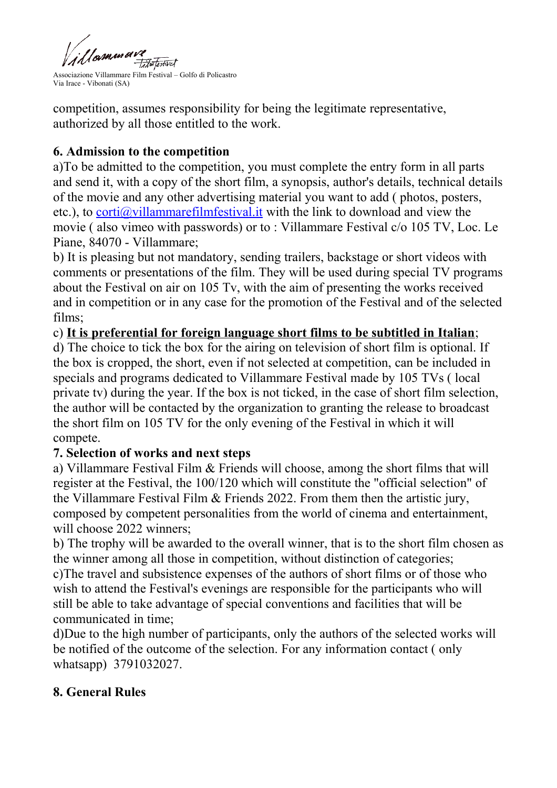

competition, assumes responsibility for being the legitimate representative, authorized by all those entitled to the work.

# **6. Admission to the competition**

a)To be admitted to the competition, you must complete the entry form in all parts and send it, with a copy of the short film, a synopsis, author's details, technical details of the movie and any other advertising material you want to add ( photos, posters, etc.), to corti $\omega$ villammarefilmfestival. it with the link to download and view the movie ( also vimeo with passwords) or to : Villammare Festival c/o 105 TV, Loc. Le Piane, 84070 - Villammare;

b) It is pleasing but not mandatory, sending trailers, backstage or short videos with comments or presentations of the film. They will be used during special TV programs about the Festival on air on 105 Tv, with the aim of presenting the works received and in competition or in any case for the promotion of the Festival and of the selected films;

#### c) **It is preferential for foreign language short films to be subtitled in Italian**;

d) The choice to tick the box for the airing on television of short film is optional. If the box is cropped, the short, even if not selected at competition, can be included in specials and programs dedicated to Villammare Festival made by 105 TVs ( local private tv) during the year. If the box is not ticked, in the case of short film selection, the author will be contacted by the organization to granting the release to broadcast the short film on 105 TV for the only evening of the Festival in which it will compete.

#### **7. Selection of works and next steps**

a) Villammare Festival Film & Friends will choose, among the short films that will register at the Festival, the 100/120 which will constitute the "official selection" of the Villammare Festival Film & Friends 2022. From them then the artistic jury, composed by competent personalities from the world of cinema and entertainment, will choose 2022 winners;

b) The trophy will be awarded to the overall winner, that is to the short film chosen as the winner among all those in competition, without distinction of categories;

c)The travel and subsistence expenses of the authors of short films or of those who wish to attend the Festival's evenings are responsible for the participants who will still be able to take advantage of special conventions and facilities that will be communicated in time;

d)Due to the high number of participants, only the authors of the selected works will be notified of the outcome of the selection. For any information contact ( only whatsapp) 3791032027.

# **8. General Rules**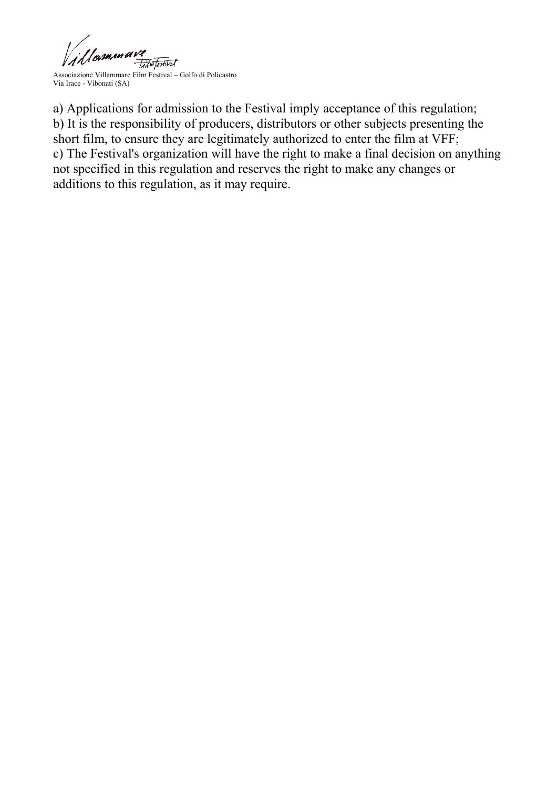

a) Applications for admission to the Festival imply acceptance of this regulation; b) It is the responsibility of producers, distributors or other subjects presenting the short film, to ensure they are legitimately authorized to enter the film at VFF; c) The Festival's organization will have the right to make a final decision on anything not specified in this regulation and reserves the right to make any changes or additions to this regulation, as it may require.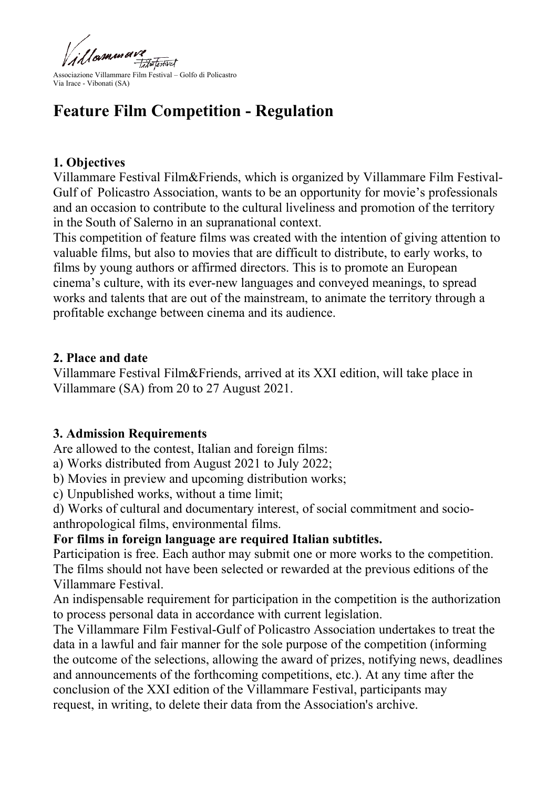

# **Feature Film Competition - Regulation**

# **1. Objectives**

Villammare Festival Film&Friends, which is organized by Villammare Film Festival-Gulf of Policastro Association, wants to be an opportunity for movie's professionals and an occasion to contribute to the cultural liveliness and promotion of the territory in the South of Salerno in an supranational context.

This competition of feature films was created with the intention of giving attention to valuable films, but also to movies that are difficult to distribute, to early works, to films by young authors or affirmed directors. This is to promote an European cinema's culture, with its ever-new languages and conveyed meanings, to spread works and talents that are out of the mainstream, to animate the territory through a profitable exchange between cinema and its audience.

#### **2. Place and date**

Villammare Festival Film&Friends, arrived at its XXI edition, will take place in Villammare (SA) from 20 to 27 August 2021.

# **3. Admission Requirements**

Are allowed to the contest, Italian and foreign films:

a) Works distributed from August 2021 to July 2022;

b) Movies in preview and upcoming distribution works;

c) Unpublished works, without a time limit;

d) Works of cultural and documentary interest, of social commitment and socioanthropological films, environmental films.

# **For films in foreign language are required Italian subtitles.**

Participation is free. Each author may submit one or more works to the competition. The films should not have been selected or rewarded at the previous editions of the Villammare Festival.

An indispensable requirement for participation in the competition is the authorization to process personal data in accordance with current legislation.

The Villammare Film Festival-Gulf of Policastro Association undertakes to treat the data in a lawful and fair manner for the sole purpose of the competition (informing the outcome of the selections, allowing the award of prizes, notifying news, deadlines and announcements of the forthcoming competitions, etc.). At any time after the conclusion of the XXI edition of the Villammare Festival, participants may request, in writing, to delete their data from the Association's archive.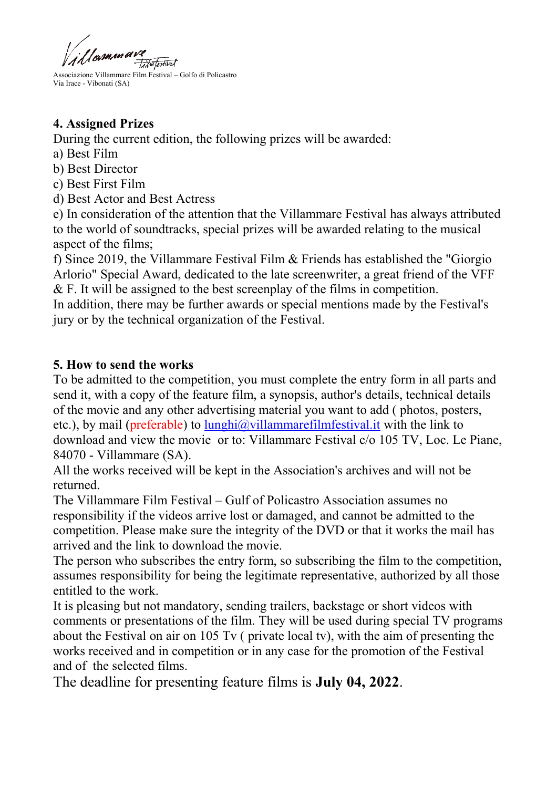'|<sub>B</sub>immav *Tilmtertwel* 

# **4. Assigned Prizes**

During the current edition, the following prizes will be awarded:

- a) Best Film
- b) Best Director
- c) Best First Film
- d) Best Actor and Best Actress

e) In consideration of the attention that the Villammare Festival has always attributed to the world of soundtracks, special prizes will be awarded relating to the musical aspect of the films;

f) Since 2019, the Villammare Festival Film & Friends has established the "Giorgio Arlorio" Special Award, dedicated to the late screenwriter, a great friend of the VFF & F. It will be assigned to the best screenplay of the films in competition.

In addition, there may be further awards or special mentions made by the Festival's jury or by the technical organization of the Festival.

# **5. How to send the works**

To be admitted to the competition, you must complete the entry form in all parts and send it, with a copy of the feature film, a synopsis, author's details, technical details of the movie and any other advertising material you want to add ( photos, posters, etc.), by mail (preferable) to  $\lim_{\alpha} \frac{\partial}{\partial x}$  lammarefilmfestival. it with the link to download and view the movie or to: Villammare Festival c/o 105 TV, Loc. Le Piane, 84070 - Villammare (SA).

All the works received will be kept in the Association's archives and will not be returned.

The Villammare Film Festival – Gulf of Policastro Association assumes no responsibility if the videos arrive lost or damaged, and cannot be admitted to the competition. Please make sure the integrity of the DVD or that it works the mail has arrived and the link to download the movie.

The person who subscribes the entry form, so subscribing the film to the competition, assumes responsibility for being the legitimate representative, authorized by all those entitled to the work.

It is pleasing but not mandatory, sending trailers, backstage or short videos with comments or presentations of the film. They will be used during special TV programs about the Festival on air on 105 Tv ( private local tv), with the aim of presenting the works received and in competition or in any case for the promotion of the Festival and of the selected films.

The deadline for presenting feature films is **July 04, 2022**.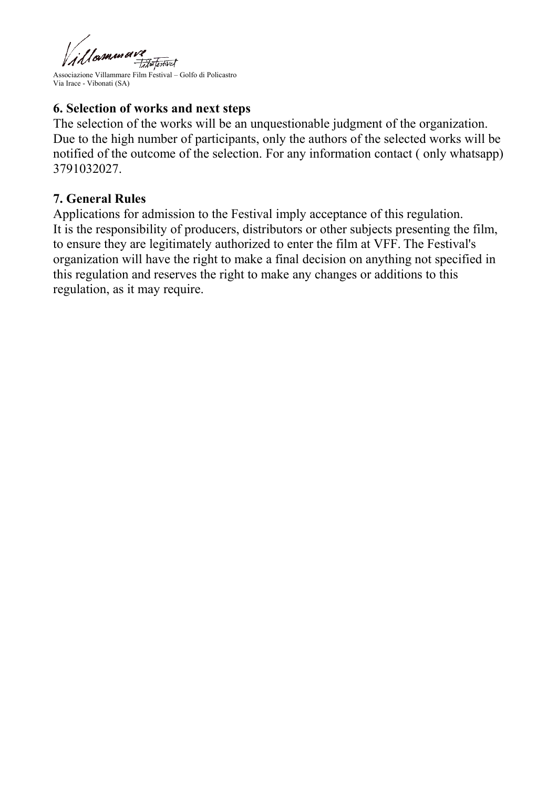

Associazione Villammare Film Festival – Golfo di Policastro Via Irace - Vibonati (SA)

#### **6. Selection of works and next steps**

The selection of the works will be an unquestionable judgment of the organization. Due to the high number of participants, only the authors of the selected works will be notified of the outcome of the selection. For any information contact ( only whatsapp) 3791032027.

#### **7. General Rules**

Applications for admission to the Festival imply acceptance of this regulation. It is the responsibility of producers, distributors or other subjects presenting the film, to ensure they are legitimately authorized to enter the film at VFF. The Festival's organization will have the right to make a final decision on anything not specified in this regulation and reserves the right to make any changes or additions to this regulation, as it may require.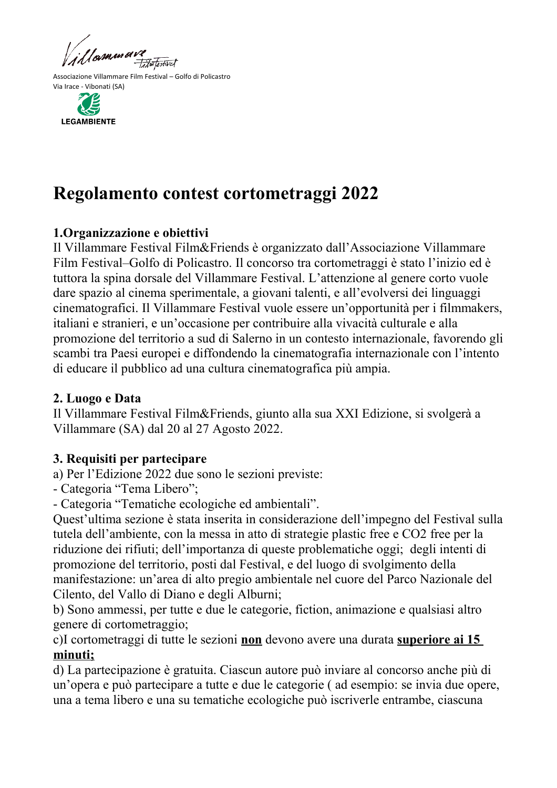



# **Regolamento contest cortometraggi 2022**

# **1.Organizzazione e obiettivi**

Il Villammare Festival Film&Friends è organizzato dall'Associazione Villammare Film Festival–Golfo di Policastro. Il concorso tra cortometraggi è stato l'inizio ed è tuttora la spina dorsale del Villammare Festival. L'attenzione al genere corto vuole dare spazio al cinema sperimentale, a giovani talenti, e all'evolversi dei linguaggi cinematografici. Il Villammare Festival vuole essere un'opportunità per i filmmakers, italiani e stranieri, e un'occasione per contribuire alla vivacità culturale e alla promozione del territorio a sud di Salerno in un contesto internazionale, favorendo gli scambi tra Paesi europei e diffondendo la cinematografia internazionale con l'intento di educare il pubblico ad una cultura cinematografica più ampia.

#### **2. Luogo e Data**

Il Villammare Festival Film&Friends, giunto alla sua XXI Edizione, si svolgerà a Villammare (SA) dal 20 al 27 Agosto 2022.

# **3. Requisiti per partecipare**

a) Per l'Edizione 2022 due sono le sezioni previste:

- Categoria "Tema Libero";

- Categoria "Tematiche ecologiche ed ambientali".

Quest'ultima sezione è stata inserita in considerazione dell'impegno del Festival sulla tutela dell'ambiente, con la messa in atto di strategie plastic free e CO2 free per la riduzione dei rifiuti; dell'importanza di queste problematiche oggi; degli intenti di promozione del territorio, posti dal Festival, e del luogo di svolgimento della manifestazione: un'area di alto pregio ambientale nel cuore del Parco Nazionale del Cilento, del Vallo di Diano e degli Alburni;

b) Sono ammessi, per tutte e due le categorie, fiction, animazione e qualsiasi altro genere di cortometraggio;

c)I cortometraggi di tutte le sezioni **non** devono avere una durata **superiore ai 15 minuti;**

d) La partecipazione è gratuita. Ciascun autore può inviare al concorso anche più di un'opera e può partecipare a tutte e due le categorie ( ad esempio: se invia due opere, una a tema libero e una su tematiche ecologiche può iscriverle entrambe, ciascuna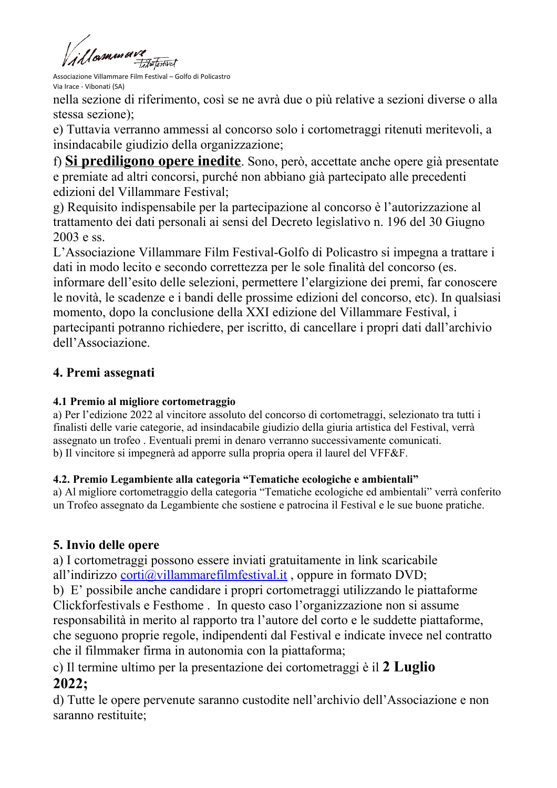'|<sub>¤</sub>sn.ur.erv? Failw Textival

Associazione Villammare Film Festival – Golfo di Policastro Via Irace - Vibonati (SA)

nella sezione di riferimento, così se ne avrà due o più relative a sezioni diverse o alla stessa sezione);

e) Tuttavia verranno ammessi al concorso solo i cortometraggi ritenuti meritevoli, a insindacabile giudizio della organizzazione;

f) **Si prediligono opere inedite**. Sono, però, accettate anche opere già presentate e premiate ad altri concorsi, purché non abbiano già partecipato alle precedenti edizioni del Villammare Festival;

g) Requisito indispensabile per la partecipazione al concorso è l'autorizzazione al trattamento dei dati personali ai sensi del Decreto legislativo n. 196 del 30 Giugno 2003 e ss.

L'Associazione Villammare Film Festival-Golfo di Policastro si impegna a trattare i dati in modo lecito e secondo correttezza per le sole finalità del concorso (es. informare dell'esito delle selezioni, permettere l'elargizione dei premi, far conoscere le novità, le scadenze e i bandi delle prossime edizioni del concorso, etc). In qualsiasi momento, dopo la conclusione della XXI edizione del Villammare Festival, i partecipanti potranno richiedere, per iscritto, di cancellare i propri dati dall'archivio dell'Associazione.

# **4. Premi assegnati**

#### **4.1 Premio al migliore cortometraggio**

a) Per l'edizione 2022 al vincitore assoluto del concorso di cortometraggi, selezionato tra tutti i finalisti delle varie categorie, ad insindacabile giudizio della giuria artistica del Festival, verrà assegnato un trofeo . Eventuali premi in denaro verranno successivamente comunicati. b) Il vincitore si impegnerà ad apporre sulla propria opera il laurel del VFF&F.

#### **4.2. Premio Legambiente alla categoria "Tematiche ecologiche e ambientali"**

a) Al migliore cortometraggio della categoria "Tematiche ecologiche ed ambientali" verrà conferito un Trofeo assegnato da Legambiente che sostiene e patrocina il Festival e le sue buone pratiche.

# **5. Invio delle opere**

a) I cortometraggi possono essere inviati gratuitamente in link scaricabile all'indirizzo corti@villammarefilmfestival.it, oppure in formato DVD;

b) E' possibile anche candidare i propri cortometraggi utilizzando le piattaforme Clickforfestivals e Festhome . In questo caso l'organizzazione non si assume responsabilità in merito al rapporto tra l'autore del corto e le suddette piattaforme, che seguono proprie regole, indipendenti dal Festival e indicate invece nel contratto che il filmmaker firma in autonomia con la piattaforma;

c) Il termine ultimo per la presentazione dei cortometraggi è il **2 Luglio 2022;**

d) Tutte le opere pervenute saranno custodite nell'archivio dell'Associazione e non saranno restituite;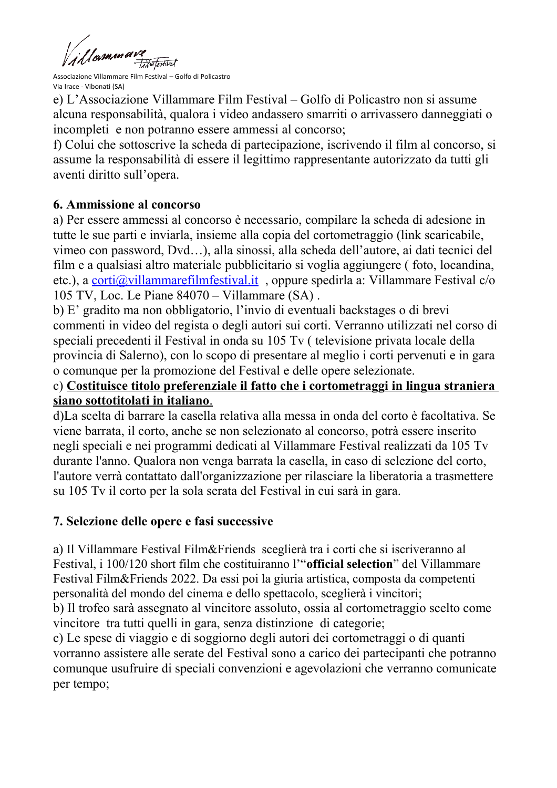1 I amman Failweitertwat

Associazione Villammare Film Festival – Golfo di Policastro Via Irace - Vibonati (SA)

e) L'Associazione Villammare Film Festival – Golfo di Policastro non si assume alcuna responsabilità, qualora i video andassero smarriti o arrivassero danneggiati o incompleti e non potranno essere ammessi al concorso;

f) Colui che sottoscrive la scheda di partecipazione, iscrivendo il film al concorso, si assume la responsabilità di essere il legittimo rappresentante autorizzato da tutti gli aventi diritto sull'opera.

# **6. Ammissione al concorso**

a) Per essere ammessi al concorso è necessario, compilare la scheda di adesione in tutte le sue parti e inviarla, insieme alla copia del cortometraggio (link scaricabile, vimeo con password, Dvd…), alla sinossi, alla scheda dell'autore, ai dati tecnici del film e a qualsiasi altro materiale pubblicitario si voglia aggiungere ( foto, locandina, etc.), a [corti@villammarefilmfestival.it](mailto:corti@villammarefilmfestival.it) , oppure spedirla a: Villammare Festival c/o 105 TV, Loc. Le Piane 84070 – Villammare (SA) .

b) E' gradito ma non obbligatorio, l'invio di eventuali backstages o di brevi commenti in video del regista o degli autori sui corti. Verranno utilizzati nel corso di speciali precedenti il Festival in onda su 105 Tv ( televisione privata locale della provincia di Salerno), con lo scopo di presentare al meglio i corti pervenuti e in gara o comunque per la promozione del Festival e delle opere selezionate.

#### c) **Costituisce titolo preferenziale il fatto che i cortometraggi in lingua straniera siano sottotitolati in italiano**.

d)La scelta di barrare la casella relativa alla messa in onda del corto è facoltativa. Se viene barrata, il corto, anche se non selezionato al concorso, potrà essere inserito negli speciali e nei programmi dedicati al Villammare Festival realizzati da 105 Tv durante l'anno. Qualora non venga barrata la casella, in caso di selezione del corto, l'autore verrà contattato dall'organizzazione per rilasciare la liberatoria a trasmettere su 105 Tv il corto per la sola serata del Festival in cui sarà in gara.

# **7. Selezione delle opere e fasi successive**

a) Il Villammare Festival Film&Friends sceglierà tra i corti che si iscriveranno al Festival, i 100/120 short film che costituiranno l'"**official selection**" del Villammare Festival Film&Friends 2022. Da essi poi la giuria artistica, composta da competenti personalità del mondo del cinema e dello spettacolo, sceglierà i vincitori;

b) Il trofeo sarà assegnato al vincitore assoluto, ossia al cortometraggio scelto come vincitore tra tutti quelli in gara, senza distinzione di categorie;

c) Le spese di viaggio e di soggiorno degli autori dei cortometraggi o di quanti vorranno assistere alle serate del Festival sono a carico dei partecipanti che potranno comunque usufruire di speciali convenzioni e agevolazioni che verranno comunicate per tempo;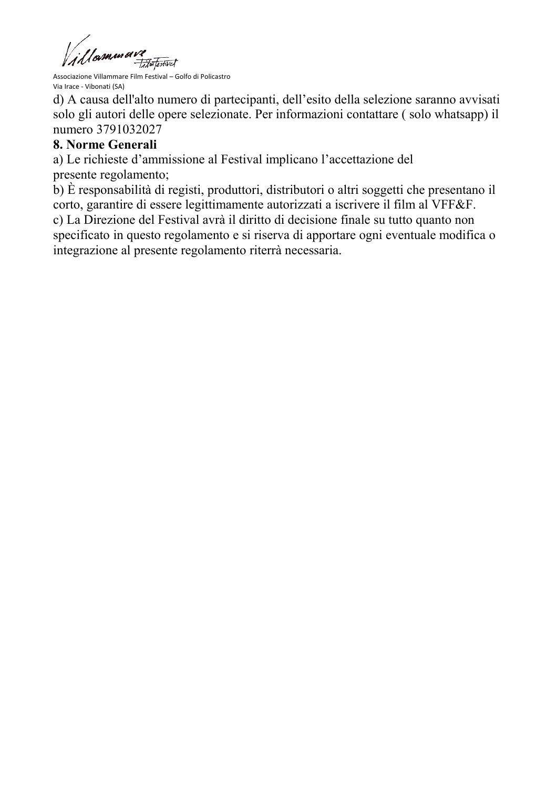All **SUMAN BIVE**<br>Associazione Villammare Film Festival – Golfo di Policastro

d) A causa dell'alto numero di partecipanti, dell'esito della selezione saranno avvisati solo gli autori delle opere selezionate. Per informazioni contattare ( solo whatsapp) il numero 3791032027

#### **8. Norme Generali**

a) Le richieste d'ammissione al Festival implicano l'accettazione del presente regolamento;

b) È responsabilità di registi, produttori, distributori o altri soggetti che presentano il corto, garantire di essere legittimamente autorizzati a iscrivere il film al VFF&F. c) La Direzione del Festival avrà il diritto di decisione finale su tutto quanto non specificato in questo regolamento e si riserva di apportare ogni eventuale modifica o integrazione al presente regolamento riterrà necessaria.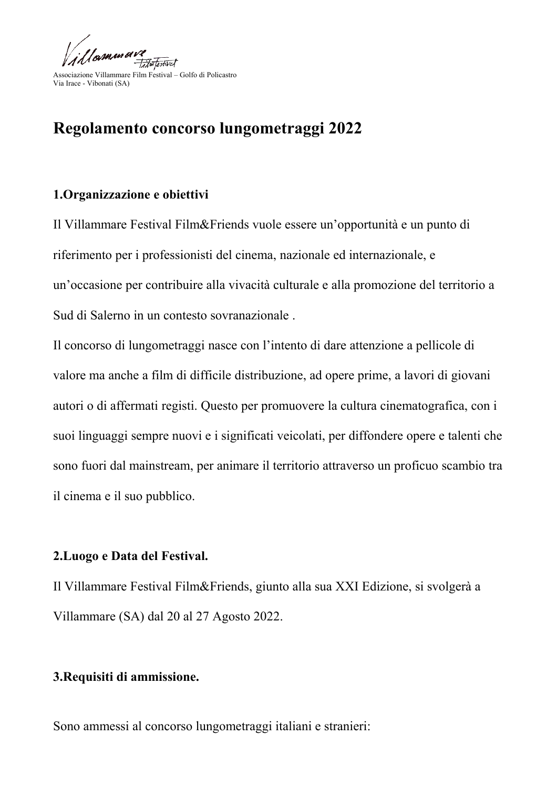

# **Regolamento concorso lungometraggi 2022**

#### **1.Organizzazione e obiettivi**

Il Villammare Festival Film&Friends vuole essere un'opportunità e un punto di riferimento per i professionisti del cinema, nazionale ed internazionale, e un'occasione per contribuire alla vivacità culturale e alla promozione del territorio a Sud di Salerno in un contesto sovranazionale .

Il concorso di lungometraggi nasce con l'intento di dare attenzione a pellicole di valore ma anche a film di difficile distribuzione, ad opere prime, a lavori di giovani autori o di affermati registi. Questo per promuovere la cultura cinematografica, con i suoi linguaggi sempre nuovi e i significati veicolati, per diffondere opere e talenti che sono fuori dal mainstream, per animare il territorio attraverso un proficuo scambio tra il cinema e il suo pubblico.

#### **2.Luogo e Data del Festival.**

Il Villammare Festival Film&Friends, giunto alla sua XXI Edizione, si svolgerà a Villammare (SA) dal 20 al 27 Agosto 2022.

#### **3.Requisiti di ammissione.**

Sono ammessi al concorso lungometraggi italiani e stranieri: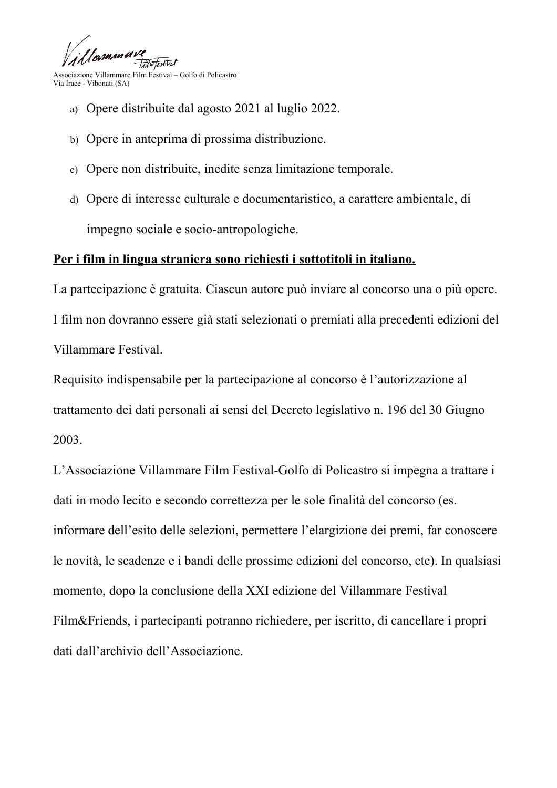

- a) Opere distribuite dal agosto 2021 al luglio 2022.
- b) Opere in anteprima di prossima distribuzione.
- c) Opere non distribuite, inedite senza limitazione temporale.
- d) Opere di interesse culturale e documentaristico, a carattere ambientale, di impegno sociale e socio-antropologiche.

# **Per i film in lingua straniera sono richiesti i sottotitoli in italiano.**

La partecipazione è gratuita. Ciascun autore può inviare al concorso una o più opere. I film non dovranno essere già stati selezionati o premiati alla precedenti edizioni del Villammare Festival.

Requisito indispensabile per la partecipazione al concorso è l'autorizzazione al trattamento dei dati personali ai sensi del Decreto legislativo n. 196 del 30 Giugno 2003.

L'Associazione Villammare Film Festival-Golfo di Policastro si impegna a trattare i dati in modo lecito e secondo correttezza per le sole finalità del concorso (es. informare dell'esito delle selezioni, permettere l'elargizione dei premi, far conoscere le novità, le scadenze e i bandi delle prossime edizioni del concorso, etc). In qualsiasi momento, dopo la conclusione della XXI edizione del Villammare Festival Film&Friends, i partecipanti potranno richiedere, per iscritto, di cancellare i propri dati dall'archivio dell'Associazione.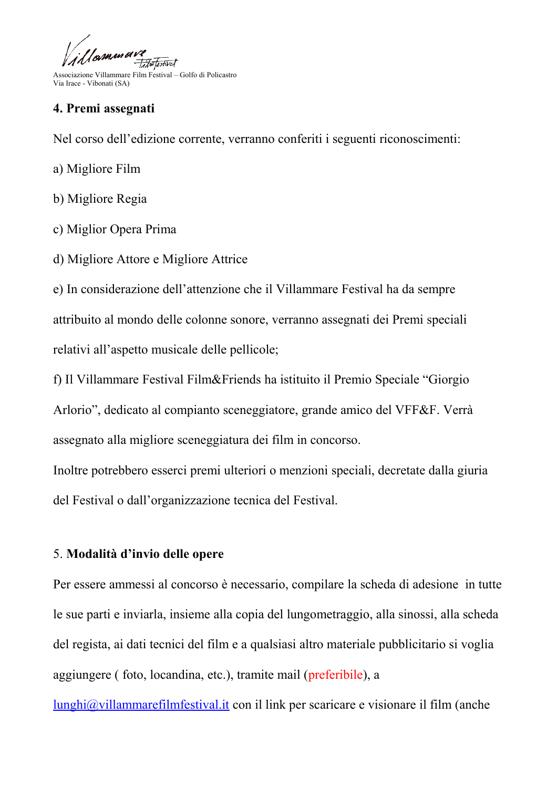Igmunava Fitwo Textival

#### **4. Premi assegnati**

Nel corso dell'edizione corrente, verranno conferiti i seguenti riconoscimenti:

- a) Migliore Film
- b) Migliore Regia
- c) Miglior Opera Prima
- d) Migliore Attore e Migliore Attrice

e) In considerazione dell'attenzione che il Villammare Festival ha da sempre attribuito al mondo delle colonne sonore, verranno assegnati dei Premi speciali relativi all'aspetto musicale delle pellicole;

f) Il Villammare Festival Film&Friends ha istituito il Premio Speciale "Giorgio Arlorio", dedicato al compianto sceneggiatore, grande amico del VFF&F. Verrà assegnato alla migliore sceneggiatura dei film in concorso.

Inoltre potrebbero esserci premi ulteriori o menzioni speciali, decretate dalla giuria del Festival o dall'organizzazione tecnica del Festival.

# 5. **Modalità d'invio delle opere**

Per essere ammessi al concorso è necessario, compilare la scheda di adesione in tutte le sue parti e inviarla, insieme alla copia del lungometraggio, alla sinossi, alla scheda del regista, ai dati tecnici del film e a qualsiasi altro materiale pubblicitario si voglia aggiungere ( foto, locandina, etc.), tramite mail (preferibile), a

[lunghi@villammarefilmfestival.it](mailto:lunghi@villammarefilmfestival.it) con il link per scaricare e visionare il film (anche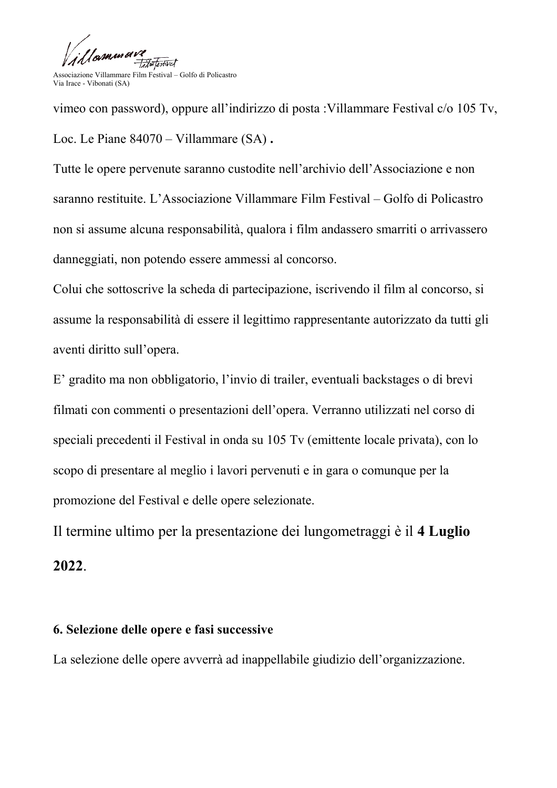

vimeo con password), oppure all'indirizzo di posta :Villammare Festival c/o 105 Tv, Loc. Le Piane 84070 – Villammare (SA) **.**

Tutte le opere pervenute saranno custodite nell'archivio dell'Associazione e non saranno restituite. L'Associazione Villammare Film Festival – Golfo di Policastro non si assume alcuna responsabilità, qualora i film andassero smarriti o arrivassero danneggiati, non potendo essere ammessi al concorso.

Colui che sottoscrive la scheda di partecipazione, iscrivendo il film al concorso, si assume la responsabilità di essere il legittimo rappresentante autorizzato da tutti gli aventi diritto sull'opera.

E' gradito ma non obbligatorio, l'invio di trailer, eventuali backstages o di brevi filmati con commenti o presentazioni dell'opera. Verranno utilizzati nel corso di speciali precedenti il Festival in onda su 105 Tv (emittente locale privata), con lo scopo di presentare al meglio i lavori pervenuti e in gara o comunque per la promozione del Festival e delle opere selezionate.

Il termine ultimo per la presentazione dei lungometraggi è il **4 Luglio 2022**.

#### **6. Selezione delle opere e fasi successive**

La selezione delle opere avverrà ad inappellabile giudizio dell'organizzazione.